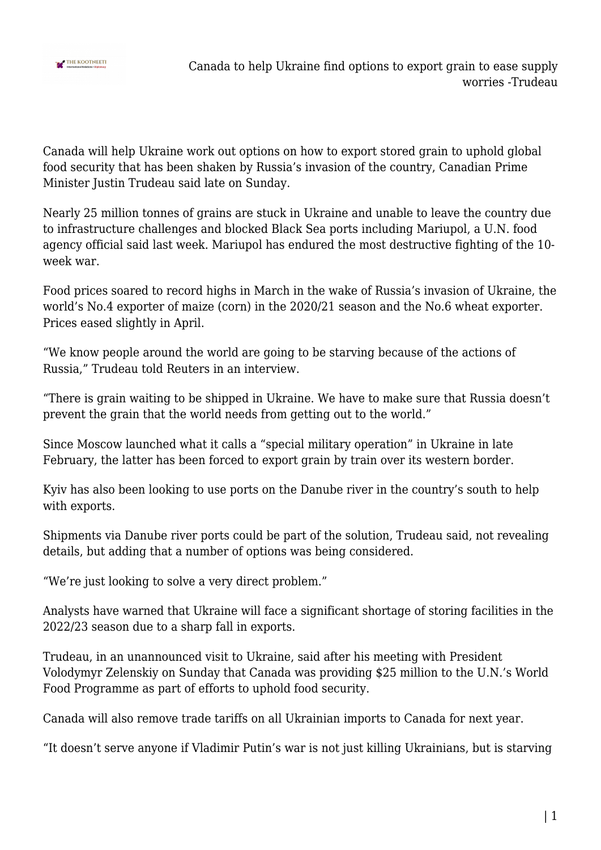

Canada will help Ukraine work out options on how to export stored grain to uphold global food security that has been shaken by Russia's invasion of the country, Canadian Prime Minister Justin Trudeau said late on Sunday.

Nearly 25 million tonnes of grains are stuck in Ukraine and unable to leave the country due to infrastructure challenges and blocked Black Sea ports including Mariupol, a U.N. food agency official said last week. Mariupol has endured the most destructive fighting of the 10 week war.

Food prices soared to record highs in March in the wake of Russia's invasion of Ukraine, the world's No.4 exporter of maize (corn) in the 2020/21 season and the No.6 wheat exporter. Prices eased slightly in April.

"We know people around the world are going to be starving because of the actions of Russia," Trudeau told Reuters in an interview.

"There is grain waiting to be shipped in Ukraine. We have to make sure that Russia doesn't prevent the grain that the world needs from getting out to the world."

Since Moscow launched what it calls a "special military operation" in Ukraine in late February, the latter has been forced to export grain by train over its western border.

Kyiv has also been looking to use ports on the Danube river in the country's south to help with exports.

Shipments via Danube river ports could be part of the solution, Trudeau said, not revealing details, but adding that a number of options was being considered.

"We're just looking to solve a very direct problem."

Analysts have warned that Ukraine will face a significant shortage of storing facilities in the 2022/23 season due to a sharp fall in exports.

Trudeau, in an unannounced visit to Ukraine, said after his meeting with President Volodymyr Zelenskiy on Sunday that Canada was providing \$25 million to the U.N.'s World Food Programme as part of efforts to uphold food security.

Canada will also remove trade tariffs on all Ukrainian imports to Canada for next year.

"It doesn't serve anyone if Vladimir Putin's war is not just killing Ukrainians, but is starving